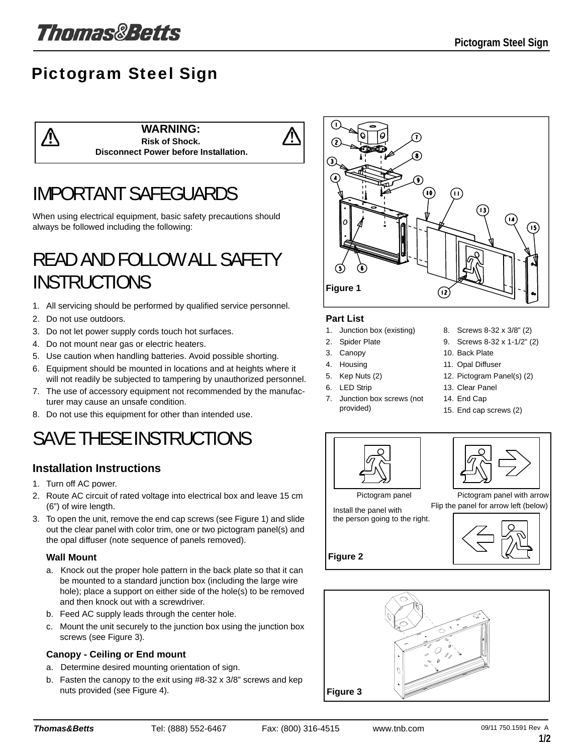# Pictogram Steel Sign

⁄!\

**WARNING: Risk of Shock. Disconnect Power before Installation.**

# IMPORTANT SAFEGUARDS

When using electrical equipment, basic safety precautions should always be followed including the following:

# READ AND FOLLOW ALL SAFETY INSTRUCTIONS

- 1. All servicing should be performed by qualified service personnel.
- 2. Do not use outdoors.
- 3. Do not let power supply cords touch hot surfaces.
- 4. Do not mount near gas or electric heaters.
- 5. Use caution when handling batteries. Avoid possible shorting.
- 6. Equipment should be mounted in locations and at heights where it will not readily be subjected to tampering by unauthorized personnel.
- 7. The use of accessory equipment not recommended by the manufacturer may cause an unsafe condition.
- 8. Do not use this equipment for other than intended use.

# SAVE THESE INSTRUCTIONS

### **Installation Instructions**

- 1. Turn off AC power.
- 2. Route AC circuit of rated voltage into electrical box and leave 15 cm (6") of wire length.
- 3. To open the unit, remove the end cap screws (see Figure 1) and slide out the clear panel with color trim, one or two pictogram panel(s) and the opal diffuser (note sequence of panels removed).

#### **Wall Mount**

- a. Knock out the proper hole pattern in the back plate so that it can be mounted to a standard junction box (including the large wire hole); place a support on either side of the hole(s) to be removed and then knock out with a screwdriver.
- b. Feed AC supply leads through the center hole.
- c. Mount the unit securely to the junction box using the junction box screws (see Figure 3).

#### **Canopy - Ceiling or End mount**

- a. Determine desired mounting orientation of sign.
- b. Fasten the canopy to the exit using #8-32 x 3/8" screws and kep nuts provided (see Figure 4).



#### **Part List**

- 1. Junction box (existing)
- 2. Spider Plate
- 3. Canopy
- **Housing**
- 5. Kep Nuts (2)
- 6. LED Strip

**Figure 2**

- 7. Junction box screws (not provided)
- 8. Screws 8-32 x 3/8" (2)
- 9. Screws 8-32 x 1-1/2" (2)
- 10. Back Plate
- 11. Opal Diffuser
- 12. Pictogram Panel(s) (2)
- 13. Clear Panel
- 14. End Cap
- 15. End cap screws (2)



the person going to the right.